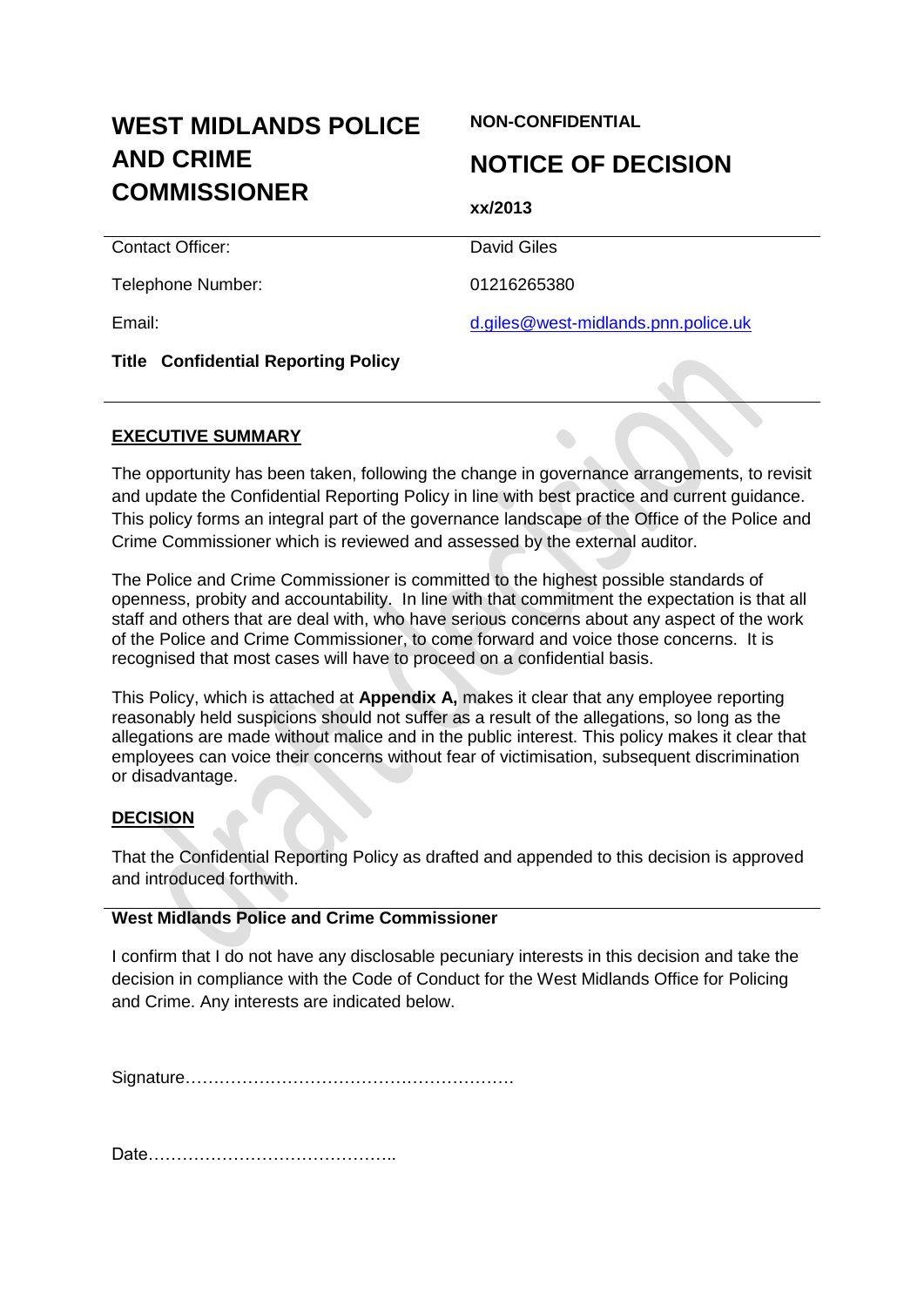# **WEST MIDLANDS POLICE AND CRIME COMMISSIONER**

**NON-CONFIDENTIAL**

 $\begin{array}{ccc} \bullet & \bullet & \bullet \\ \bullet & \bullet & \bullet & \bullet \end{array}$ 

## **NOTICE OF DECISION**

| <u> 9911111119919111111</u>                | xx/2013                             |
|--------------------------------------------|-------------------------------------|
| <b>Contact Officer:</b>                    | <b>David Giles</b>                  |
| Telephone Number:                          | 01216265380                         |
| Email:                                     | d.giles@west-midlands.pnn.police.uk |
| <b>Title Confidential Reporting Policy</b> |                                     |

#### **EXECUTIVE SUMMARY**

The opportunity has been taken, following the change in governance arrangements, to revisit and update the Confidential Reporting Policy in line with best practice and current guidance. This policy forms an integral part of the governance landscape of the Office of the Police and Crime Commissioner which is reviewed and assessed by the external auditor.

The Police and Crime Commissioner is committed to the highest possible standards of openness, probity and accountability. In line with that commitment the expectation is that all staff and others that are deal with, who have serious concerns about any aspect of the work of the Police and Crime Commissioner, to come forward and voice those concerns. It is recognised that most cases will have to proceed on a confidential basis.

This Policy, which is attached at **Appendix A,** makes it clear that any employee reporting reasonably held suspicions should not suffer as a result of the allegations, so long as the allegations are made without malice and in the public interest. This policy makes it clear that employees can voice their concerns without fear of victimisation, subsequent discrimination or disadvantage.

#### **DECISION**

That the Confidential Reporting Policy as drafted and appended to this decision is approved and introduced forthwith.

## **West Midlands Police and Crime Commissioner**

I confirm that I do not have any disclosable pecuniary interests in this decision and take the decision in compliance with the Code of Conduct for the West Midlands Office for Policing and Crime. Any interests are indicated below.

Signature………………………………………………….

Date……………………………………..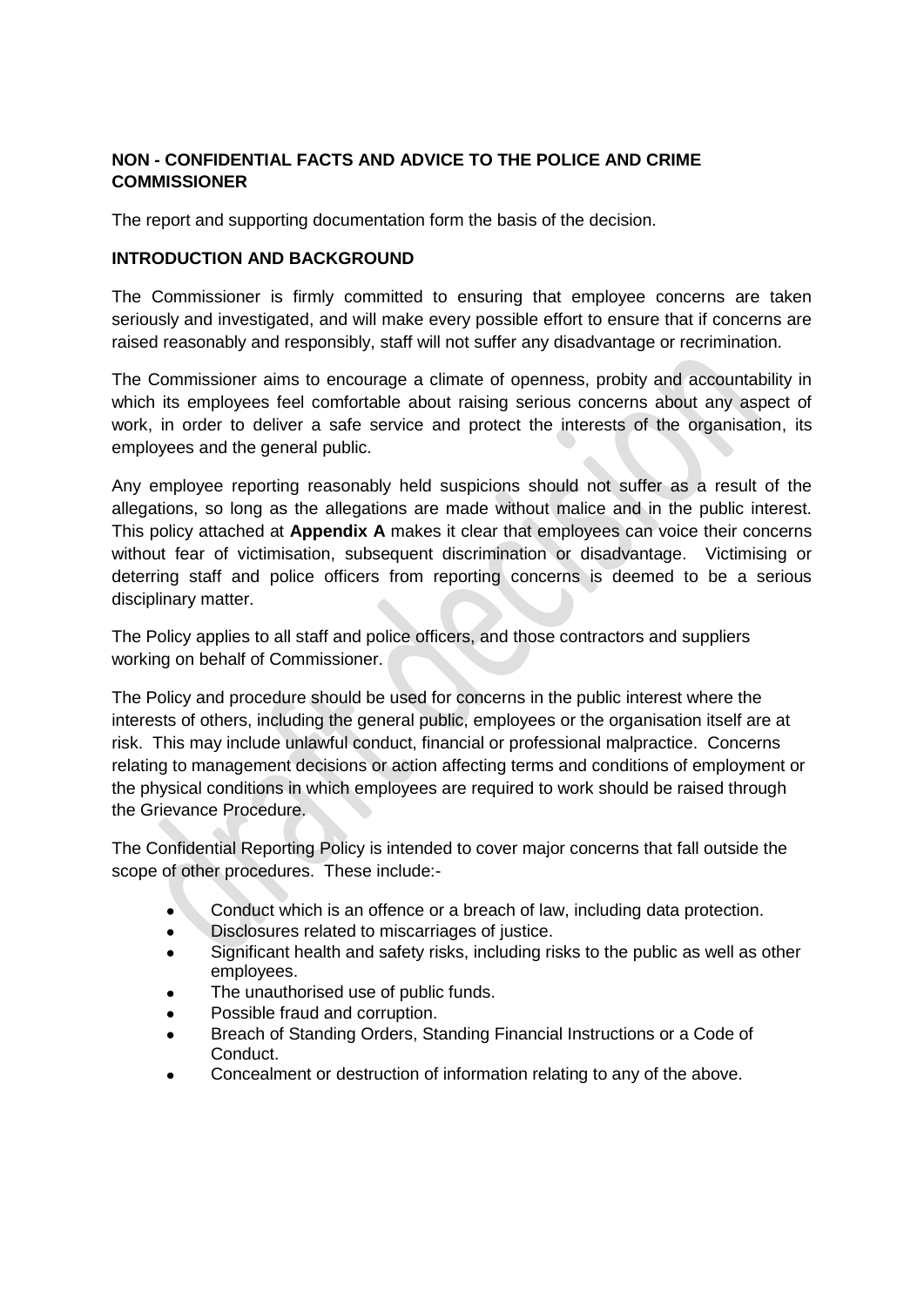## **NON - CONFIDENTIAL FACTS AND ADVICE TO THE POLICE AND CRIME COMMISSIONER**

The report and supporting documentation form the basis of the decision.

#### **INTRODUCTION AND BACKGROUND**

The Commissioner is firmly committed to ensuring that employee concerns are taken seriously and investigated, and will make every possible effort to ensure that if concerns are raised reasonably and responsibly, staff will not suffer any disadvantage or recrimination.

The Commissioner aims to encourage a climate of openness, probity and accountability in which its employees feel comfortable about raising serious concerns about any aspect of work, in order to deliver a safe service and protect the interests of the organisation, its employees and the general public.

Any employee reporting reasonably held suspicions should not suffer as a result of the allegations, so long as the allegations are made without malice and in the public interest. This policy attached at **Appendix A** makes it clear that employees can voice their concerns without fear of victimisation, subsequent discrimination or disadvantage. Victimising or deterring staff and police officers from reporting concerns is deemed to be a serious disciplinary matter.

The Policy applies to all staff and police officers, and those contractors and suppliers working on behalf of Commissioner.

The Policy and procedure should be used for concerns in the public interest where the interests of others, including the general public, employees or the organisation itself are at risk. This may include unlawful conduct, financial or professional malpractice. Concerns relating to management decisions or action affecting terms and conditions of employment or the physical conditions in which employees are required to work should be raised through the Grievance Procedure.

The Confidential Reporting Policy is intended to cover major concerns that fall outside the scope of other procedures. These include:-

- Conduct which is an offence or a breach of law, including data protection.  $\bullet$
- Disclosures related to miscarriages of justice.
- Significant health and safety risks, including risks to the public as well as other  $\bullet$ employees.
- The unauthorised use of public funds.
- Possible fraud and corruption.
- Breach of Standing Orders, Standing Financial Instructions or a Code of Conduct.
- Concealment or destruction of information relating to any of the above.